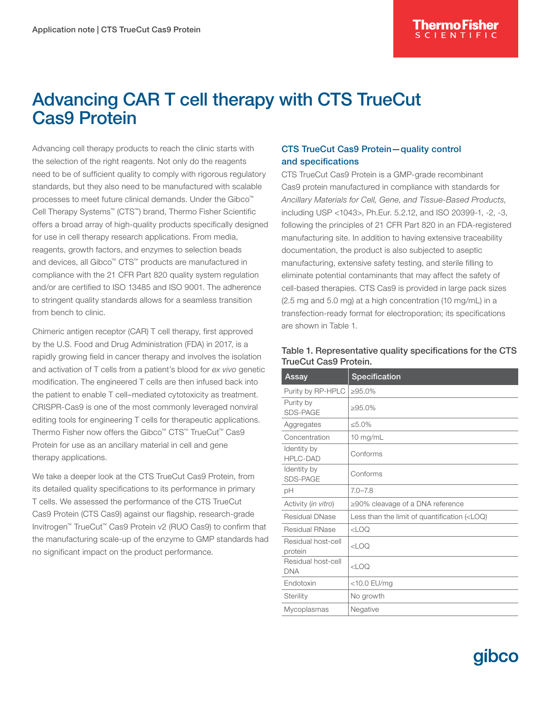# Advancing CAR T cell therapy with CTS TrueCut Cas9 Protein

Advancing cell therapy products to reach the clinic starts with the selection of the right reagents. Not only do the reagents need to be of sufficient quality to comply with rigorous regulatory standards, but they also need to be manufactured with scalable processes to meet future clinical demands. Under the Gibco™ Cell Therapy Systems™ (CTS™) brand, Thermo Fisher Scientific offers a broad array of high-quality products specifically designed for use in cell therapy research applications. From media, reagents, growth factors, and enzymes to selection beads and devices, all Gibco™ CTS™ products are manufactured in compliance with the 21 CFR Part 820 quality system regulation and/or are certified to ISO 13485 and ISO 9001. The adherence to stringent quality standards allows for a seamless transition from bench to clinic.

Chimeric antigen receptor (CAR) T cell therapy, first approved by the U.S. Food and Drug Administration (FDA) in 2017, is a rapidly growing field in cancer therapy and involves the isolation and activation of T cells from a patient's blood for *ex vivo* genetic modification. The engineered T cells are then infused back into the patient to enable T cell–mediated cytotoxicity as treatment. CRISPR-Cas9 is one of the most commonly leveraged nonviral editing tools for engineering T cells for therapeutic applications. Thermo Fisher now offers the Gibco™ CTS™ TrueCut™ Cas9 Protein for use as an ancillary material in cell and gene therapy applications.

We take a deeper look at the CTS TrueCut Cas9 Protein, from its detailed quality specifications to its performance in primary T cells. We assessed the performance of the CTS TrueCut Cas9 Protein (CTS Cas9) against our flagship, research-grade Invitrogen™ TrueCut™ Cas9 Protein v2 (RUO Cas9) to confirm that the manufacturing scale-up of the enzyme to GMP standards had no significant impact on the product performance.

## CTS TrueCut Cas9 Protein—quality control and specifications

CTS TrueCut Cas9 Protein is a GMP-grade recombinant Cas9 protein manufactured in compliance with standards for *Ancillary Materials for Cell, Gene, and Tissue-Based Products,* including USP <1043>, Ph.Eur. 5.2.12, and ISO 20399-1, -2, -3, following the principles of 21 CFR Part 820 in an FDA-registered manufacturing site. In addition to having extensive traceability documentation, the product is also subjected to aseptic manufacturing, extensive safety testing, and sterile filling to eliminate potential contaminants that may affect the safety of cell-based therapies. CTS Cas9 is provided in large pack sizes (2.5 mg and 5.0 mg) at a high concentration (10 mg/mL) in a transfection-ready format for electroporation; its specifications are shown in Table 1.

| Specification                                                 |
|---------------------------------------------------------------|
| $>95.0\%$                                                     |
| $>95.0\%$                                                     |
| $< 5.0\%$                                                     |
| 10 $mg/mL$                                                    |
| Conforms                                                      |
| Conforms                                                      |
| $7.0 - 7.8$                                                   |
| $\geq$ 90% cleavage of a DNA reference                        |
| Less than the limit of quantification ( <loq)< td=""></loq)<> |
| CLOO                                                          |
| CLOO                                                          |
| $<$ LOQ                                                       |
| <10.0 EU/mg                                                   |
| No growth                                                     |
| Negative                                                      |
|                                                               |

#### Table 1. Representative quality specifications for the CTS TrueCut Cas9 Protein.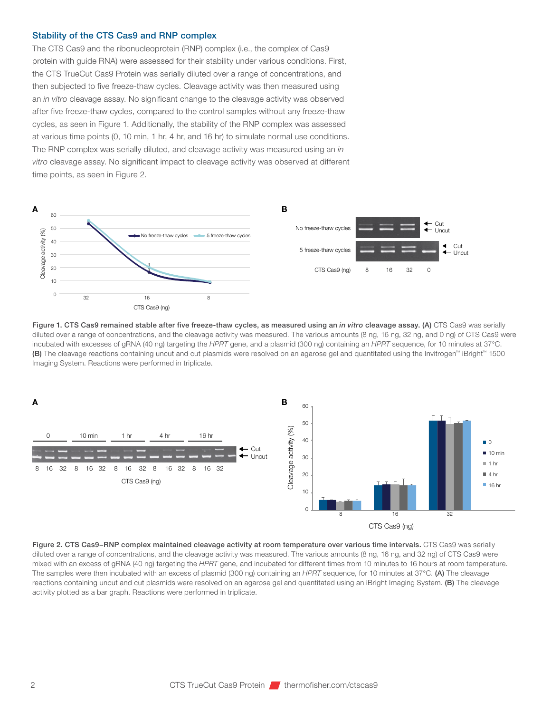#### Stability of the CTS Cas9 and RNP complex

The CTS Cas9 and the ribonucleoprotein (RNP) complex (i.e., the complex of Cas9 protein with guide RNA) were assessed for their stability under various conditions. First, the CTS TrueCut Cas9 Protein was serially diluted over a range of concentrations, and then subjected to five freeze-thaw cycles. Cleavage activity was then measured using an *in vitro* cleavage assay. No significant change to the cleavage activity was observed after five freeze-thaw cycles, compared to the control samples without any freeze-thaw cycles, as seen in Figure 1. Additionally, the stability of the RNP complex was assessed at various time points (0, 10 min, 1 hr, 4 hr, and 16 hr) to simulate normal use conditions. The RNP complex was serially diluted, and cleavage activity was measured using an *in vitro* cleavage assay. No significant impact to cleavage activity was observed at different time points, as seen in Figure 2.



Figure 1. CTS Cas9 remained stable after five freeze-thaw cycles, as measured using an *in vitro* cleavage assay. (A) CTS Cas9 was serially diluted over a range of concentrations, and the cleavage activity was measured. The various amounts (8 ng, 16 ng, 32 ng, and 0 ng) of CTS Cas9 were incubated with excesses of gRNA (40 ng) targeting the *HPRT* gene, and a plasmid (300 ng) containing an *HPRT* sequence, for 10 minutes at 37°C. (B) The cleavage reactions containing uncut and cut plasmids were resolved on an agarose gel and quantitated using the Invitrogen™ iBright™ 1500 Imaging System. Reactions were performed in triplicate.



Figure 2. CTS Cas9–RNP complex maintained cleavage activity at room temperature over various time intervals. CTS Cas9 was serially diluted over a range of concentrations, and the cleavage activity was measured. The various amounts (8 ng, 16 ng, and 32 ng) of CTS Cas9 were mixed with an excess of gRNA (40 ng) targeting the *HPRT* gene, and incubated for different times from 10 minutes to 16 hours at room temperature. The samples were then incubated with an excess of plasmid (300 ng) containing an *HPRT* sequence, for 10 minutes at 37°C. (A) The cleavage reactions containing uncut and cut plasmids were resolved on an agarose gel and quantitated using an iBright Imaging System. (B) The cleavage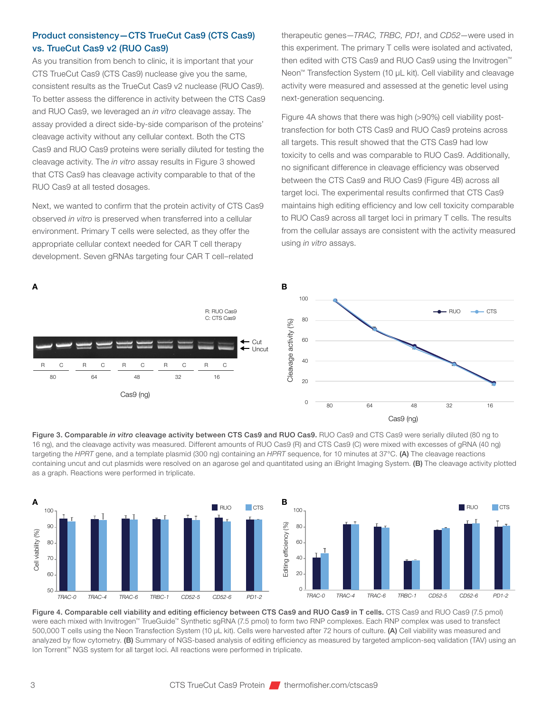## Product consistency—CTS TrueCut Cas9 (CTS Cas9) vs. TrueCut Cas9 v2 (RUO Cas9)

As you transition from bench to clinic, it is important that your CTS TrueCut Cas9 (CTS Cas9) nuclease give you the same, consistent results as the TrueCut Cas9 v2 nuclease (RUO Cas9). To better assess the difference in activity between the CTS Cas9 and RUO Cas9, we leveraged an *in vitro* cleavage assay. The assay provided a direct side-by-side comparison of the proteins' cleavage activity without any cellular context. Both the CTS Cas9 and RUO Cas9 proteins were serially diluted for testing the cleavage activity. The *in vitro* assay results in Figure 3 showed that CTS Cas9 has cleavage activity comparable to that of the RUO Cas9 at all tested dosages.

Next, we wanted to confirm that the protein activity of CTS Cas9 observed *in vitro* is preserved when transferred into a cellular environment. Primary T cells were selected, as they offer the appropriate cellular context needed for CAR T cell therapy development. Seven gRNAs targeting four CAR T cell–related

therapeutic genes—*TRAC, TRBC, PD1*, and *CD52*—were used in this experiment. The primary T cells were isolated and activated, then edited with CTS Cas9 and RUO Cas9 using the Invitrogen™ Neon<sup>™</sup> Transfection System (10 µL kit). Cell viability and cleavage activity were measured and assessed at the genetic level using next-generation sequencing.

Figure 4A shows that there was high (>90%) cell viability posttransfection for both CTS Cas9 and RUO Cas9 proteins across all targets. This result showed that the CTS Cas9 had low toxicity to cells and was comparable to RUO Cas9. Additionally, no significant difference in cleavage efficiency was observed between the CTS Cas9 and RUO Cas9 (Figure 4B) across all target loci. The experimental results confirmed that CTS Cas9 maintains high editing efficiency and low cell toxicity comparable to RUO Cas9 across all target loci in primary T cells. The results from the cellular assays are consistent with the activity measured using *in vitro* assays.







Figure 4. Comparable cell viability and editing efficiency between CTS Cas9 and RUO Cas9 in T cells. CTS Cas9 and RUO Cas9 (7.5 pmol) were each mixed with Invitrogen™ TrueGuide™ Synthetic sgRNA (7.5 pmol) to form two RNP complexes. Each RNP complex was used to transfect 500,000 T cells using the Neon Transfection System (10 µL kit). Cells were harvested after 72 hours of culture. (A) Cell viability was measured and analyzed by flow cytometry. (B) Summary of NGS-based analysis of editing efficiency as measured by targeted amplicon-seg validation (TAV) using an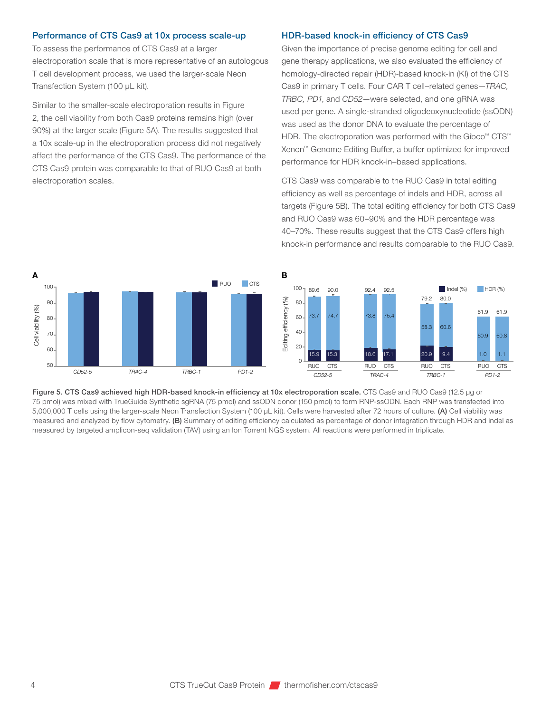#### Performance of CTS Cas9 at 10x process scale-up

To assess the performance of CTS Cas9 at a larger electroporation scale that is more representative of an autologous T cell development process, we used the larger-scale Neon Transfection System (100 µL kit).

Similar to the smaller-scale electroporation results in Figure 2, the cell viability from both Cas9 proteins remains high (over 90%) at the larger scale (Figure 5A). The results suggested that a 10x scale-up in the electroporation process did not negatively affect the performance of the CTS Cas9. The performance of the CTS Cas9 protein was comparable to that of RUO Cas9 at both electroporation scales.

#### HDR-based knock-in efficiency of CTS Cas9

Given the importance of precise genome editing for cell and gene therapy applications, we also evaluated the efficiency of homology-directed repair (HDR)-based knock-in (KI) of the CTS Cas9 in primary T cells. Four CAR T cell–related genes—*TRAC, TRBC, PD1*, and *CD52*—were selected, and one gRNA was used per gene. A single-stranded oligodeoxynucleotide (ssODN) was used as the donor DNA to evaluate the percentage of HDR. The electroporation was performed with the Gibco™ CTS™ Xenon™ Genome Editing Buffer, a buffer optimized for improved performance for HDR knock-in–based applications.

CTS Cas9 was comparable to the RUO Cas9 in total editing efficiency as well as percentage of indels and HDR, across all targets (Figure 5B). The total editing efficiency for both CTS Cas9 and RUO Cas9 was 60–90% and the HDR percentage was 40–70%. These results suggest that the CTS Cas9 offers high knock-in performance and results comparable to the RUO Cas9.





Figure 5. CTS Cas9 achieved high HDR-based knock-in efficiency at 10x electroporation scale. CTS Cas9 and RUO Cas9 (12.5 µg or 75 pmol) was mixed with TrueGuide Synthetic sgRNA (75 pmol) and ssODN donor (150 pmol) to form RNP-ssODN. Each RNP was transfected into 5,000,000 T cells using the larger-scale Neon Transfection System (100 µL kit). Cells were harvested after 72 hours of culture. (A) Cell viability was measured and analyzed by flow cytometry. (B) Summary of editing efficiency calculated as percentage of donor integration through HDR and indel as measured by targeted amplicon-seq validation (TAV) using an Ion Torrent NGS system. All reactions were performed in triplicate.